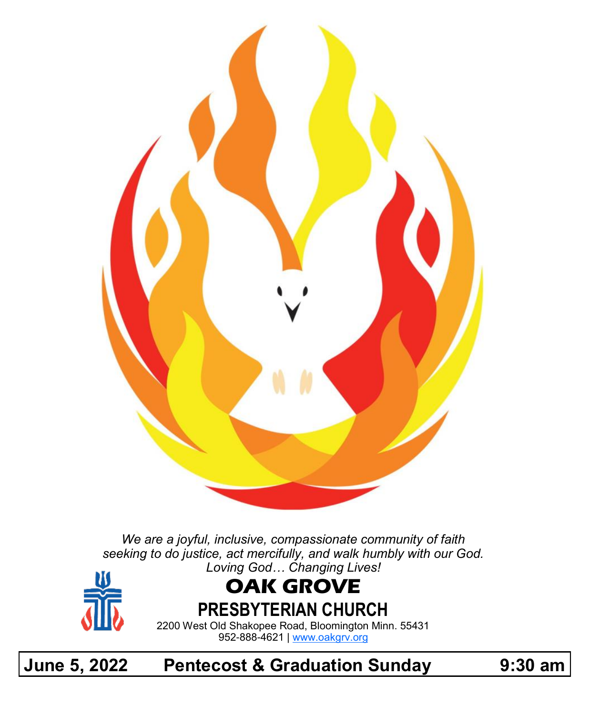

*We are a joyful, inclusive, compassionate community of faith seeking to do justice, act mercifully, and walk humbly with our God. Loving God… Changing Lives!*



# **OAK GROVE**

**PRESBYTERIAN CHURCH**

2200 West Old Shakopee Road, Bloomington Minn. 55431 952-888-4621 | [www.oakgrv.org](https://www.oakgrv.org)

# **June 5, 2022 Pentecost & Graduation Sunday 9:30 am**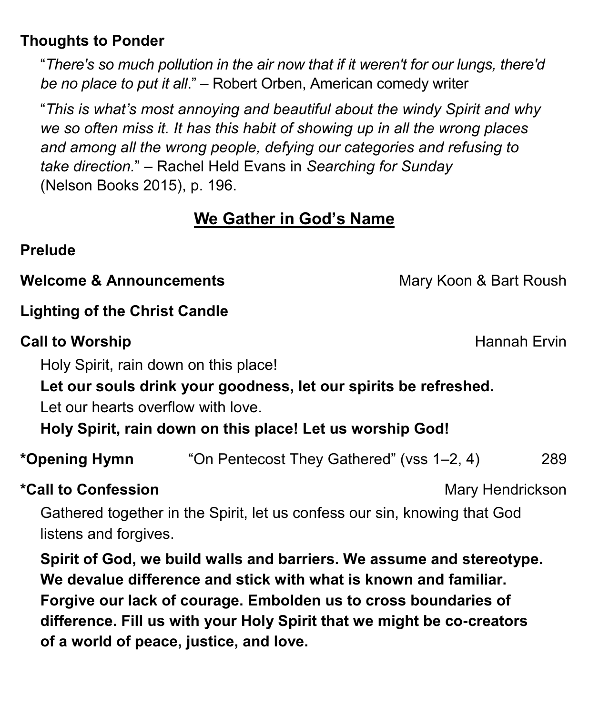### **Thoughts to Ponder**

"*There's so much pollution in the air now that if it weren't for our lungs, there'd be no place to put it all*." – Robert Orben, American comedy writer

"*This is what's most annoying and beautiful about the windy Spirit and why we so often miss it. It has this habit of showing up in all the wrong places and among all the wrong people, defying our categories and refusing to take direction.*" – Rachel Held Evans in *Searching for Sunday* (Nelson Books 2015), p. 196.

# **We Gather in God's Name**

### **Prelude**

**Welcome & Announcements** Mary Koon & Bart Roush

## **Lighting of the Christ Candle**

## **Call to Worship Call to Worship Hannah Ervin**

Holy Spirit, rain down on this place!

**Let our souls drink your goodness, let our spirits be refreshed.**

Let our hearts overflow with love.

**Holy Spirit, rain down on this place! Let us worship God!**

**\*Opening Hymn** "On Pentecost They Gathered" (vss 1–2, 4) 289

## \*Call to Confession **Mary Hendrickson** Mary Hendrickson

Gathered together in the Spirit, let us confess our sin, knowing that God listens and forgives.

**Spirit of God, we build walls and barriers. We assume and stereotype. We devalue difference and stick with what is known and familiar. Forgive our lack of courage. Embolden us to cross boundaries of difference. Fill us with your Holy Spirit that we might be co-creators of a world of peace, justice, and love.**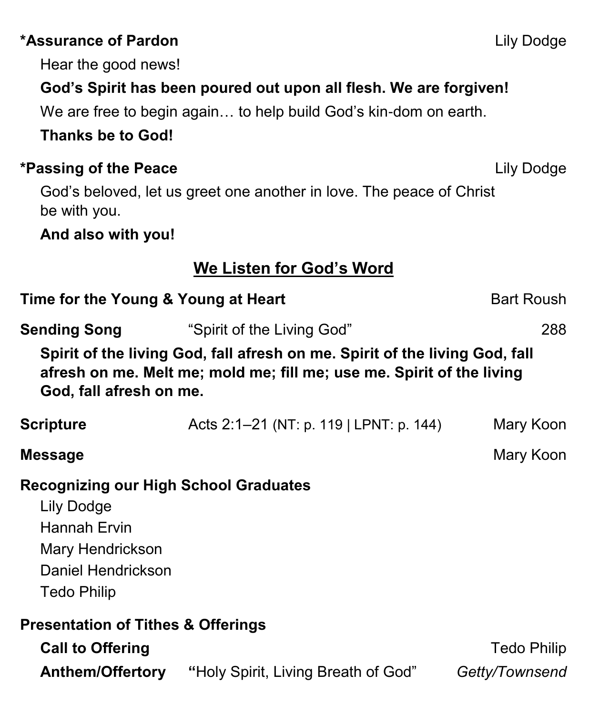# **\*Assurance of Pardon** Lily Dodge

Hear the good news!

# **God's Spirit has been poured out upon all flesh. We are forgiven!**

We are free to begin again… to help build God's kin-dom on earth.

# **Thanks be to God!**

# **\*Passing of the Peace** Lily Dodge

God's beloved, let us greet one another in love. The peace of Christ be with you.

**And also with you!**

# **We Listen for God's Word**

| Time for the Young & Young at Heart                                                                                                                                             |                                         | <b>Bart Roush</b>                    |
|---------------------------------------------------------------------------------------------------------------------------------------------------------------------------------|-----------------------------------------|--------------------------------------|
| <b>Sending Song</b>                                                                                                                                                             | "Spirit of the Living God"              | 288                                  |
| Spirit of the living God, fall afresh on me. Spirit of the living God, fall<br>afresh on me. Melt me; mold me; fill me; use me. Spirit of the living<br>God, fall afresh on me. |                                         |                                      |
| <b>Scripture</b>                                                                                                                                                                | Acts 2:1–21 (NT: p. 119   LPNT: p. 144) | Mary Koon                            |
| <b>Message</b>                                                                                                                                                                  |                                         | Mary Koon                            |
| <b>Recognizing our High School Graduates</b><br>Lily Dodge<br><b>Hannah Ervin</b><br>Mary Hendrickson<br>Daniel Hendrickson<br><b>Tedo Philip</b>                               |                                         |                                      |
| <b>Presentation of Tithes &amp; Offerings</b><br><b>Call to Offering</b><br><b>Anthem/Offertory</b>                                                                             | "Holy Spirit, Living Breath of God"     | <b>Tedo Philip</b><br>Getty/Townsend |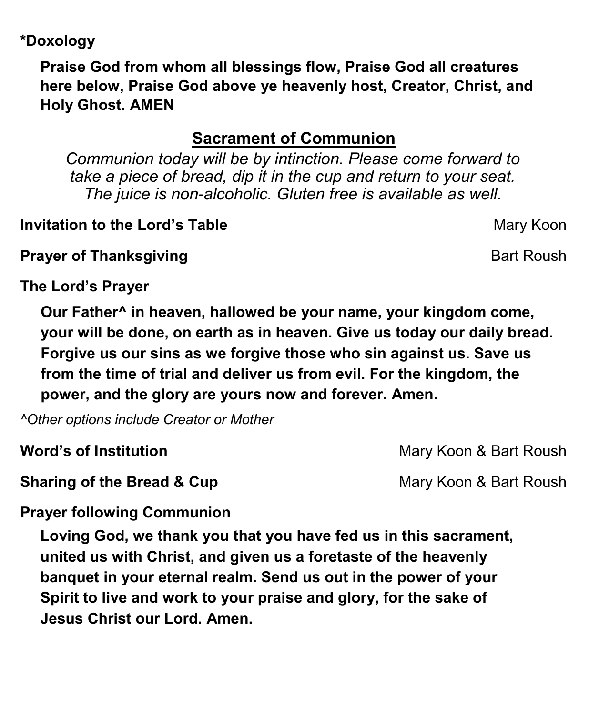## **\*Doxology**

**Praise God from whom all blessings flow, Praise God all creatures here below, Praise God above ye heavenly host, Creator, Christ, and Holy Ghost. AMEN**

# **Sacrament of Communion**

*Communion today will be by intinction. Please come forward to take a piece of bread, dip it in the cup and return to your seat. The juice is non-alcoholic. Gluten free is available as well.*

# **Invitation to the Lord's Table** Mary Koon

**Prayer of Thanksgiving Community Community Bart Roush** 

**The Lord's Prayer**

**Our Father^ in heaven, hallowed be your name, your kingdom come, your will be done, on earth as in heaven. Give us today our daily bread. Forgive us our sins as we forgive those who sin against us. Save us from the time of trial and deliver us from evil. For the kingdom, the power, and the glory are yours now and forever. Amen.**

*^Other options include Creator or Mother*

**Sharing of the Bread & Cup** Mary Koon & Bart Roush

**Word's of Institution** Mary Koon & Bart Roush

# **Prayer following Communion**

**Loving God, we thank you that you have fed us in this sacrament, united us with Christ, and given us a foretaste of the heavenly banquet in your eternal realm. Send us out in the power of your Spirit to live and work to your praise and glory, for the sake of Jesus Christ our Lord. Amen.**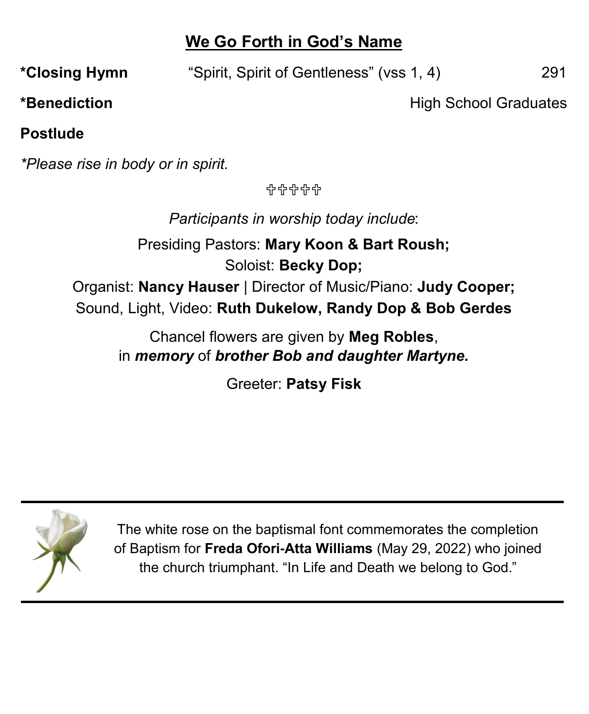## **We Go Forth in God's Name**

**\*Closing Hymn** "Spirit, Spirit of Gentleness" (vss 1, 4) 291

\*Benediction **Exercise School Graduates \*Benediction** 

**Postlude**

*\*Please rise in body or in spirit.*

유유유유유

*Participants in worship today include*:

Presiding Pastors: **Mary Koon & Bart Roush;** Soloist: **Becky Dop;** Organist: **Nancy Hauser** | Director of Music/Piano: **Judy Cooper;** Sound, Light, Video: **Ruth Dukelow, Randy Dop & Bob Gerdes**

> Chancel flowers are given by **Meg Robles**, in *memory* of *brother Bob and daughter Martyne.*

> > Greeter: **Patsy Fisk**



The white rose on the baptismal font commemorates the completion of Baptism for **Freda Ofori-Atta Williams** (May 29, 2022) who joined the church triumphant. "In Life and Death we belong to God."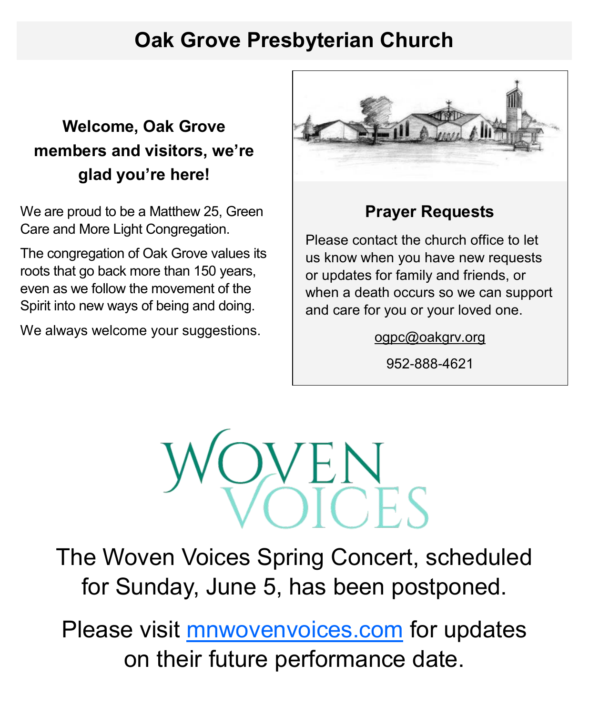# **Oak Grove Presbyterian Church**

# **Welcome, Oak Grove members and visitors, we're glad you're here!**

We are proud to be a Matthew 25, Green Care and More Light Congregation.

The congregation of Oak Grove values its roots that go back more than 150 years, even as we follow the movement of the Spirit into new ways of being and doing.

We always welcome your suggestions.



### **Prayer Requests**

Please contact the church office to let us know when you have new requests or updates for family and friends, or when a death occurs so we can support and care for you or your loved one.

[ogpc@oakgrv.org](mailto:ogpc@oakgrv.org)

952-888-4621



The Woven Voices Spring Concert, scheduled for Sunday, June 5, has been postponed.

Please visit **[mnwovenvoices.com](https://mnwovenvoices.com)** for updates on their future performance date.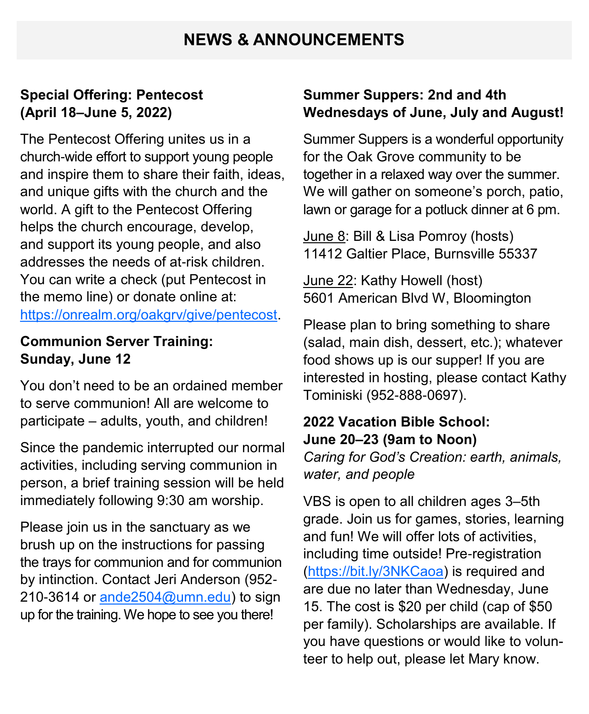### **NEWS & ANNOUNCEMENTS**

#### **Special Offering: Pentecost (April 18–June 5, 2022)**

The Pentecost Offering unites us in a church-wide effort to support young people and inspire them to share their faith, ideas, and unique gifts with the church and the world. A gift to the Pentecost Offering helps the church encourage, develop, and support its young people, and also addresses the needs of at-risk children. You can write a check (put Pentecost in the memo line) or donate online at: [https://onrealm.org/oakgrv/give/pentecost.](https://onrealm.org/oakgrv/give/pentecost)

#### **Communion Server Training: Sunday, June 12**

You don't need to be an ordained member to serve communion! All are welcome to participate – adults, youth, and children!

Since the pandemic interrupted our normal activities, including serving communion in person, a brief training session will be held immediately following 9:30 am worship.

Please join us in the sanctuary as we brush up on the instructions for passing the trays for communion and for communion by intinction. Contact Jeri Anderson (952- 210-3614 or ande $2504@$ umn.edu) to sign up for the training. We hope to see you there!

#### **Summer Suppers: 2nd and 4th Wednesdays of June, July and August!**

Summer Suppers is a wonderful opportunity for the Oak Grove community to be together in a relaxed way over the summer. We will gather on someone's porch, patio, lawn or garage for a potluck dinner at 6 pm.

June 8: Bill & Lisa Pomroy (hosts) 11412 Galtier Place, Burnsville 55337

June 22: Kathy Howell (host) 5601 American Blvd W, Bloomington

Please plan to bring something to share (salad, main dish, dessert, etc.); whatever food shows up is our supper! If you are interested in hosting, please contact Kathy Tominiski (952-888-0697).

### **2022 Vacation Bible School: June 20–23 (9am to Noon)**

*Caring for God's Creation: earth, animals, water, and people*

VBS is open to all children ages 3–5th grade. Join us for games, stories, learning and fun! We will offer lots of activities, including time outside! Pre-registration ([https://bit.ly/3NKCaoa\)](https://bit.ly/3NKCaoa) is required and are due no later than Wednesday, June 15. The cost is \$20 per child (cap of \$50 per family). Scholarships are available. If you have questions or would like to volunteer to help out, please let Mary know.